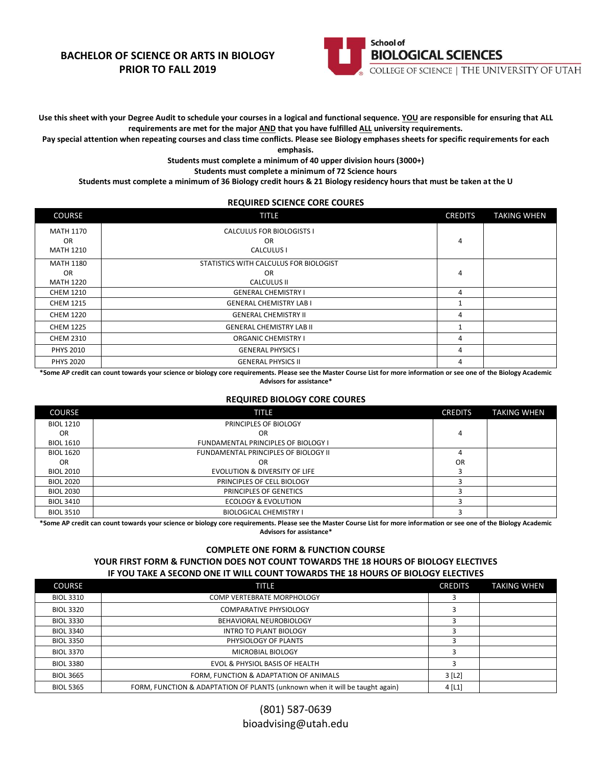## **BACHELOR OF SCIENCE OR ARTS IN BIOLOGY PRIOR TO FALL 2019**



**Use this sheet with your Degree Audit to schedule your courses in a logical and functional sequence. YOU are responsible for ensuring that ALL requirements are met for the major AND that you have fulfilled ALL university requirements.**

**Pay special attention when repeating courses and class time conflicts. Please see Biology emphases sheets for specific requirements for each** 

**emphasis.**

**Students must complete a minimum of 40 upper division hours (3000+)**

**Students must complete a minimum of 72 Science hours**

**Students must complete a minimum of 36 Biology credit hours & 21 Biology residency hours that must be taken at the U**

### **REQUIRED SCIENCE CORE COURES**

| <b>COURSE</b>                       | <b>TITLE</b>                                                | <b>CREDITS</b> | <b>TAKING WHEN</b> |
|-------------------------------------|-------------------------------------------------------------|----------------|--------------------|
| MATH 1170<br>OR<br><b>MATH 1210</b> | <b>CALCULUS FOR BIOLOGISTS I</b><br><b>OR</b><br>CALCULUS I | 4              |                    |
| MATH 1180                           | STATISTICS WITH CALCULUS FOR BIOLOGIST                      |                |                    |
| <b>OR</b><br><b>MATH 1220</b>       | <b>OR</b><br>CALCULUS II                                    | 4              |                    |
| <b>CHEM 1210</b>                    | <b>GENERAL CHEMISTRY I</b>                                  | 4              |                    |
| <b>CHEM 1215</b>                    | <b>GENERAL CHEMISTRY LAB I</b>                              |                |                    |
| <b>CHEM 1220</b>                    | <b>GENERAL CHEMISTRY II</b>                                 | 4              |                    |
| <b>CHEM 1225</b>                    | <b>GENERAL CHEMISTRY LAB II</b>                             |                |                    |
| <b>CHEM 2310</b>                    | <b>ORGANIC CHEMISTRY I</b>                                  | 4              |                    |
| <b>PHYS 2010</b>                    | <b>GENERAL PHYSICS I</b>                                    | 4              |                    |
| <b>PHYS 2020</b>                    | <b>GENERAL PHYSICS II</b>                                   | 4              |                    |

**\*Some AP credit can count towards your science or biology core requirements. Please see the Master Course List for more information or see one of the Biology Academic Advisors for assistance\***

### **REQUIRED BIOLOGY CORE COURES**

| <b>COURSE</b>    | TITLE                                      | <b>CREDITS</b> | <b>TAKING WHEN</b> |
|------------------|--------------------------------------------|----------------|--------------------|
| <b>BIOL 1210</b> | PRINCIPLES OF BIOLOGY                      |                |                    |
| <b>OR</b>        | OR                                         | 4              |                    |
| <b>BIOL 1610</b> | <b>FUNDAMENTAL PRINCIPLES OF BIOLOGY I</b> |                |                    |
| <b>BIOL 1620</b> | FUNDAMENTAL PRINCIPLES OF BIOLOGY II       |                |                    |
| <b>OR</b>        | OR                                         | <b>OR</b>      |                    |
| <b>BIOL 2010</b> | <b>EVOLUTION &amp; DIVERSITY OF LIFE</b>   |                |                    |
| <b>BIOL 2020</b> | PRINCIPLES OF CELL BIOLOGY                 |                |                    |
| <b>BIOL 2030</b> | PRINCIPLES OF GENETICS                     |                |                    |
| <b>BIOL 3410</b> | <b>ECOLOGY &amp; EVOLUTION</b>             |                |                    |
| <b>BIOL 3510</b> | <b>BIOLOGICAL CHEMISTRY I</b>              |                |                    |

**\*Some AP credit can count towards your science or biology core requirements. Please see the Master Course List for more information or see one of the Biology Academic Advisors for assistance\***

### **COMPLETE ONE FORM & FUNCTION COURSE**

#### **YOUR FIRST FORM & FUNCTION DOES NOT COUNT TOWARDS THE 18 HOURS OF BIOLOGY ELECTIVES IF YOU TAKE A SECOND ONE IT WILL COUNT TOWARDS THE 18 HOURS OF BIOLOGY ELECTIVES**

| <b>COURSE</b>    | TITLE                                                                        | <b>CREDITS</b>        | <b>TAKING WHEN</b> |
|------------------|------------------------------------------------------------------------------|-----------------------|--------------------|
| <b>BIOL 3310</b> | COMP VERTEBRATE MORPHOLOGY                                                   |                       |                    |
| <b>BIOL 3320</b> | <b>COMPARATIVE PHYSIOLOGY</b>                                                |                       |                    |
| <b>BIOL 3330</b> | BEHAVIORAL NEUROBIOLOGY                                                      |                       |                    |
| <b>BIOL 3340</b> | <b>INTRO TO PLANT BIOLOGY</b>                                                |                       |                    |
| <b>BIOL 3350</b> | PHYSIOLOGY OF PLANTS                                                         |                       |                    |
| <b>BIOL 3370</b> | MICROBIAL BIOLOGY                                                            |                       |                    |
| <b>BIOL 3380</b> | EVOL & PHYSIOL BASIS OF HEALTH                                               |                       |                    |
| <b>BIOL 3665</b> | FORM, FUNCTION & ADAPTATION OF ANIMALS                                       | $3$ [L <sub>2</sub> ] |                    |
| <b>BIOL 5365</b> | FORM, FUNCTION & ADAPTATION OF PLANTS (unknown when it will be taught again) | $4$ [L1]              |                    |